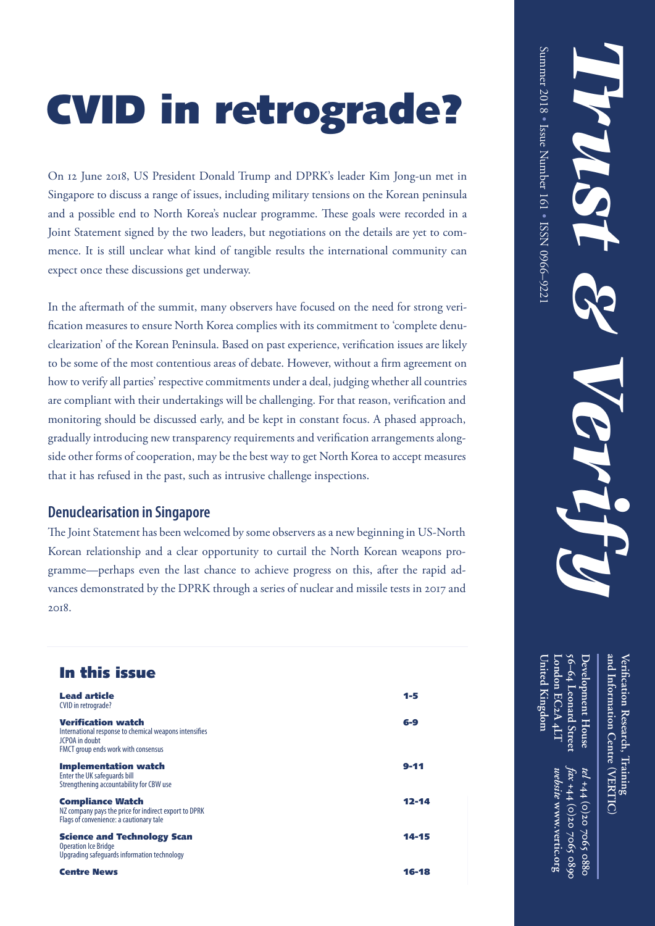# CVID in retrograde?

On 12 June 2018, US President Donald Trump and DPRK's leader Kim Jong-un met in Singapore to discuss a range of issues, including military tensions on the Korean peninsula and a possible end to North Korea's nuclear programme. These goals were recorded in a Joint Statement signed by the two leaders, but negotiations on the details are yet to commence. It is still unclear what kind of tangible results the international community can expect once these discussions get underway.

In the aftermath of the summit, many observers have focused on the need for strong verification measures to ensure North Korea complies with its commitment to 'complete denuclearization' of the Korean Peninsula. Based on past experience, verification issues are likely to be some of the most contentious areas of debate. However, without a firm agreement on how to verify all parties' respective commitments under a deal, judging whether all countries are compliant with their undertakings will be challenging. For that reason, verification and monitoring should be discussed early, and be kept in constant focus. A phased approach, gradually introducing new transparency requirements and verification arrangements alongside other forms of cooperation, may be the best way to get North Korea to accept measures that it has refused in the past, such as intrusive challenge inspections.

#### **Denuclearisation in Singapore**

The Joint Statement has been welcomed by some observers as a new beginning in US-North Korean relationship and a clear opportunity to curtail the North Korean weapons programme—perhaps even the last chance to achieve progress on this, after the rapid advances demonstrated by the DPRK through a series of nuclear and missile tests in 2017 and 2018.

## In this issue

| Lead article<br>CVID in retrograde?                                                                                                          | $1 - 5$   |
|----------------------------------------------------------------------------------------------------------------------------------------------|-----------|
| <b>Verification watch</b><br>International response to chemical weapons intensifies<br>JCPOA in doubt<br>FMCT group ends work with consensus | 6-9       |
| <b>Implementation watch</b><br>Enter the UK safeguards bill<br>Strengthening accountability for CBW use                                      | $9 - 11$  |
| <b>Compliance Watch</b><br>NZ company pays the price for indirect export to DPRK<br>Flags of convenience: a cautionary tale                  | $12 - 14$ |
| <b>Science and Technology Scan</b><br><b>Operation Ice Bridge</b><br>Upgrading safeguards information technology                             | 14-15     |
| <b>Centre News</b>                                                                                                                           | 16-18     |

**Development House and Information Centre Veri fi**Development House **cation Research, Training** *tel* +44 (0)20 **VERTIC ( ) +44 (0)20 7065 0880**

**56–64**

**London EC**

**United Kingdom**

Inited Kingdom

**2A 4LT**

 **Leonard Street**

*fax* +44 (0)20 7065 0899 **+44 (0)20 7065 0890** *website* **www.vertic.org**

 $5002$ 

0880

website www.vertic.org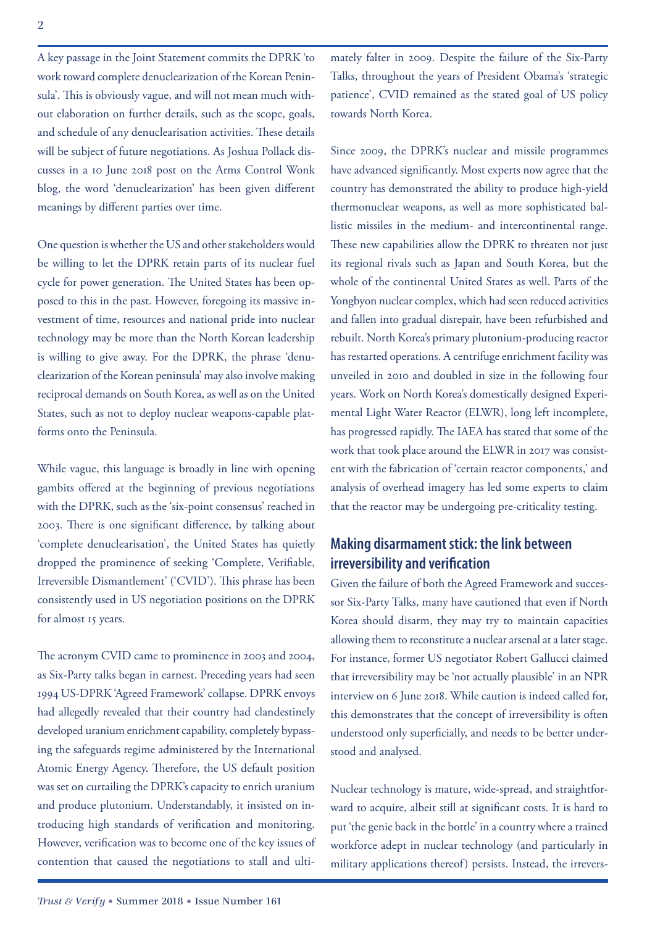A key passage in the Joint Statement commits the DPRK 'to work toward complete denuclearization of the Korean Peninsula'. This is obviously vague, and will not mean much without elaboration on further details, such as the scope, goals, and schedule of any denuclearisation activities. These details will be subject of future negotiations. As Joshua Pollack discusses in a 10 June 2018 post on the Arms Control Wonk blog, the word 'denuclearization' has been given different meanings by different parties over time.

One question is whether the US and other stakeholders would be willing to let the DPRK retain parts of its nuclear fuel cycle for power generation. The United States has been opposed to this in the past. However, foregoing its massive investment of time, resources and national pride into nuclear technology may be more than the North Korean leadership is willing to give away. For the DPRK, the phrase 'denuclearization of the Korean peninsula' may also involve making reciprocal demands on South Korea, as well as on the United States, such as not to deploy nuclear weapons-capable platforms onto the Peninsula.

While vague, this language is broadly in line with opening gambits offered at the beginning of previous negotiations with the DPRK, such as the 'six-point consensus' reached in 2003. There is one significant difference, by talking about 'complete denuclearisation', the United States has quietly dropped the prominence of seeking 'Complete, Verifiable, Irreversible Dismantlement' ('CVID'). This phrase has been consistently used in US negotiation positions on the DPRK for almost 15 years.

The acronym CVID came to prominence in 2003 and 2004, as Six-Party talks began in earnest. Preceding years had seen 1994 US-DPRK 'Agreed Framework' collapse. DPRK envoys had allegedly revealed that their country had clandestinely developed uranium enrichment capability, completely bypassing the safeguards regime administered by the International Atomic Energy Agency. Therefore, the US default position was set on curtailing the DPRK's capacity to enrich uranium and produce plutonium. Understandably, it insisted on introducing high standards of verification and monitoring. However, verification was to become one of the key issues of contention that caused the negotiations to stall and ultimately falter in 2009. Despite the failure of the Six-Party Talks, throughout the years of President Obama's 'strategic patience', CVID remained as the stated goal of US policy towards North Korea.

Since 2009, the DPRK's nuclear and missile programmes have advanced significantly. Most experts now agree that the country has demonstrated the ability to produce high-yield thermonuclear weapons, as well as more sophisticated ballistic missiles in the medium- and intercontinental range. These new capabilities allow the DPRK to threaten not just its regional rivals such as Japan and South Korea, but the whole of the continental United States as well. Parts of the Yongbyon nuclear complex, which had seen reduced activities and fallen into gradual disrepair, have been refurbished and rebuilt. North Korea's primary plutonium-producing reactor has restarted operations. A centrifuge enrichment facility was unveiled in 2010 and doubled in size in the following four years. Work on North Korea's domestically designed Experimental Light Water Reactor (ELWR), long left incomplete, has progressed rapidly. The IAEA has stated that some of the work that took place around the ELWR in 2017 was consistent with the fabrication of 'certain reactor components,' and analysis of overhead imagery has led some experts to claim that the reactor may be undergoing pre-criticality testing.

#### **Making disarmament stick: the link between irreversibility and verification**

Given the failure of both the Agreed Framework and successor Six-Party Talks, many have cautioned that even if North Korea should disarm, they may try to maintain capacities allowing them to reconstitute a nuclear arsenal at a later stage. For instance, former US negotiator Robert Gallucci claimed that irreversibility may be 'not actually plausible' in an NPR interview on 6 June 2018. While caution is indeed called for, this demonstrates that the concept of irreversibility is often understood only superficially, and needs to be better understood and analysed.

Nuclear technology is mature, wide-spread, and straightforward to acquire, albeit still at significant costs. It is hard to put 'the genie back in the bottle' in a country where a trained workforce adept in nuclear technology (and particularly in military applications thereof) persists. Instead, the irrevers-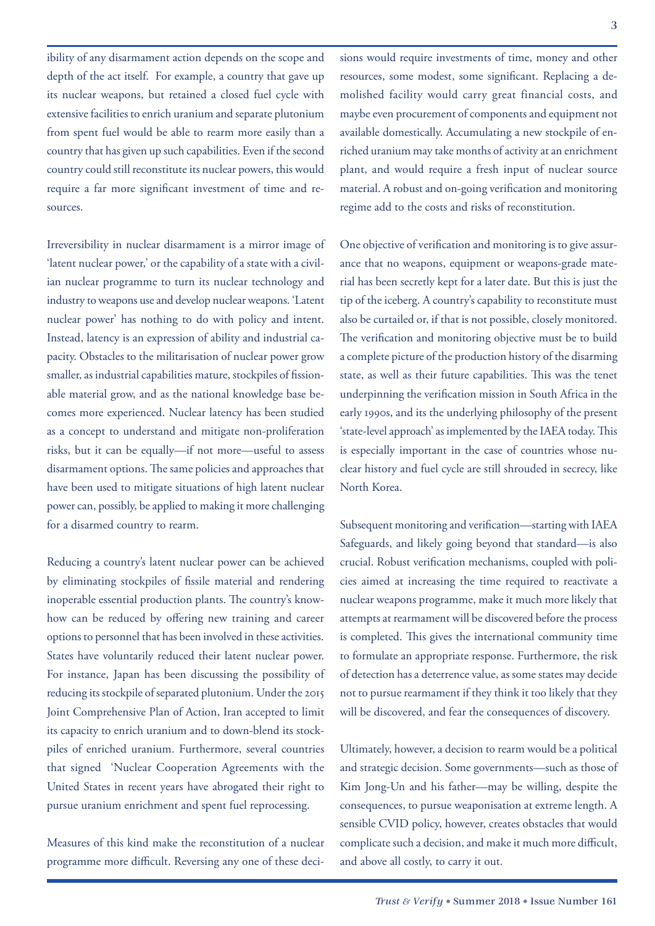ibility of any disarmament action depends on the scope and depth of the act itself. For example, a country that gave up its nuclear weapons, but retained a closed fuel cycle with extensive facilities to enrich uranium and separate plutonium from spent fuel would be able to rearm more easily than a country that has given up such capabilities. Even if the second country could still reconstitute its nuclear powers, this would require a far more significant investment of time and resources.

Irreversibility in nuclear disarmament is a mirror image of 'latent nuclear power,' or the capability of a state with a civilian nuclear programme to turn its nuclear technology and industry to weapons use and develop nuclear weapons. 'Latent nuclear power' has nothing to do with policy and intent. Instead, latency is an expression of ability and industrial capacity. Obstacles to the militarisation of nuclear power grow smaller, as industrial capabilities mature, stockpiles of fissionable material grow, and as the national knowledge base becomes more experienced. Nuclear latency has been studied as a concept to understand and mitigate non-proliferation risks, but it can be equally—if not more—useful to assess disarmament options. The same policies and approaches that have been used to mitigate situations of high latent nuclear power can, possibly, be applied to making it more challenging for a disarmed country to rearm.

Reducing a country's latent nuclear power can be achieved by eliminating stockpiles of fissile material and rendering inoperable essential production plants. The country's knowhow can be reduced by offering new training and career options to personnel that has been involved in these activities. States have voluntarily reduced their latent nuclear power. For instance, Japan has been discussing the possibility of reducing its stockpile of separated plutonium. Under the 2015 Joint Comprehensive Plan of Action, Iran accepted to limit its capacity to enrich uranium and to down-blend its stockpiles of enriched uranium. Furthermore, several countries that signed 'Nuclear Cooperation Agreements with the United States in recent years have abrogated their right to pursue uranium enrichment and spent fuel reprocessing.

Measures of this kind make the reconstitution of a nuclear programme more difficult. Reversing any one of these deci-

sions would require investments of time, money and other resources, some modest, some significant. Replacing a demolished facility would carry great financial costs, and maybe even procurement of components and equipment not available domestically. Accumulating a new stockpile of enriched uranium may take months of activity at an enrichment plant, and would require a fresh input of nuclear source material. A robust and on-going verification and monitoring regime add to the costs and risks of reconstitution.

One objective of verification and monitoring is to give assurance that no weapons, equipment or weapons-grade material has been secretly kept for a later date. But this is just the tip of the iceberg. A country's capability to reconstitute must also be curtailed or, if that is not possible, closely monitored. The verification and monitoring objective must be to build a complete picture of the production history of the disarming state, as well as their future capabilities. This was the tenet underpinning the verification mission in South Africa in the early 1990s, and its the underlying philosophy of the present 'state-level approach' as implemented by the IAEA today. This is especially important in the case of countries whose nuclear history and fuel cycle are still shrouded in secrecy, like North Korea.

Subsequent monitoring and verification—starting with IAEA Safeguards, and likely going beyond that standard—is also crucial. Robust verification mechanisms, coupled with policies aimed at increasing the time required to reactivate a nuclear weapons programme, make it much more likely that attempts at rearmament will be discovered before the process is completed. This gives the international community time to formulate an appropriate response. Furthermore, the risk of detection has a deterrence value, as some states may decide not to pursue rearmament if they think it too likely that they will be discovered, and fear the consequences of discovery.

Ultimately, however, a decision to rearm would be a political and strategic decision. Some governments—such as those of Kim Jong-Un and his father—may be willing, despite the consequences, to pursue weaponisation at extreme length. A sensible CVID policy, however, creates obstacles that would complicate such a decision, and make it much more difficult, and above all costly, to carry it out.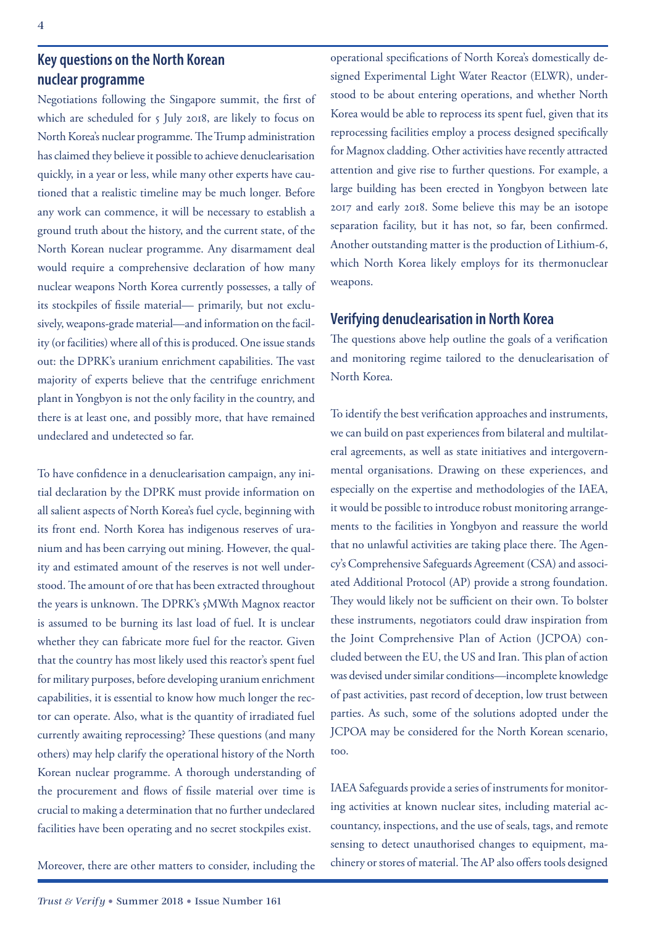### **Key questions on the North Korean nuclear programme**

Negotiations following the Singapore summit, the first of which are scheduled for 5 July 2018, are likely to focus on North Korea's nuclear programme. The Trump administration has claimed they believe it possible to achieve denuclearisation quickly, in a year or less, while many other experts have cautioned that a realistic timeline may be much longer. Before any work can commence, it will be necessary to establish a ground truth about the history, and the current state, of the North Korean nuclear programme. Any disarmament deal would require a comprehensive declaration of how many nuclear weapons North Korea currently possesses, a tally of its stockpiles of fissile material— primarily, but not exclusively, weapons-grade material—and information on the facility (or facilities) where all of this is produced. One issue stands out: the DPRK's uranium enrichment capabilities. The vast majority of experts believe that the centrifuge enrichment plant in Yongbyon is not the only facility in the country, and there is at least one, and possibly more, that have remained undeclared and undetected so far.

To have confidence in a denuclearisation campaign, any initial declaration by the DPRK must provide information on all salient aspects of North Korea's fuel cycle, beginning with its front end. North Korea has indigenous reserves of uranium and has been carrying out mining. However, the quality and estimated amount of the reserves is not well understood. The amount of ore that has been extracted throughout the years is unknown. The DPRK's 5MWth Magnox reactor is assumed to be burning its last load of fuel. It is unclear whether they can fabricate more fuel for the reactor. Given that the country has most likely used this reactor's spent fuel for military purposes, before developing uranium enrichment capabilities, it is essential to know how much longer the rector can operate. Also, what is the quantity of irradiated fuel currently awaiting reprocessing? These questions (and many others) may help clarify the operational history of the North Korean nuclear programme. A thorough understanding of the procurement and flows of fissile material over time is crucial to making a determination that no further undeclared facilities have been operating and no secret stockpiles exist.

Moreover, there are other matters to consider, including the

operational specifications of North Korea's domestically designed Experimental Light Water Reactor (ELWR), understood to be about entering operations, and whether North Korea would be able to reprocess its spent fuel, given that its reprocessing facilities employ a process designed specifically for Magnox cladding. Other activities have recently attracted attention and give rise to further questions. For example, a large building has been erected in Yongbyon between late 2017 and early 2018. Some believe this may be an isotope separation facility, but it has not, so far, been confirmed. Another outstanding matter is the production of Lithium-6, which North Korea likely employs for its thermonuclear weapons.

#### **Verifying denuclearisation in North Korea**

The questions above help outline the goals of a verification and monitoring regime tailored to the denuclearisation of North Korea.

To identify the best verification approaches and instruments, we can build on past experiences from bilateral and multilateral agreements, as well as state initiatives and intergovernmental organisations. Drawing on these experiences, and especially on the expertise and methodologies of the IAEA, it would be possible to introduce robust monitoring arrangements to the facilities in Yongbyon and reassure the world that no unlawful activities are taking place there. The Agency's Comprehensive Safeguards Agreement (CSA) and associated Additional Protocol (AP) provide a strong foundation. They would likely not be sufficient on their own. To bolster these instruments, negotiators could draw inspiration from the Joint Comprehensive Plan of Action (JCPOA) concluded between the EU, the US and Iran. This plan of action was devised under similar conditions—incomplete knowledge of past activities, past record of deception, low trust between parties. As such, some of the solutions adopted under the JCPOA may be considered for the North Korean scenario, too.

IAEA Safeguards provide a series of instruments for monitoring activities at known nuclear sites, including material accountancy, inspections, and the use of seals, tags, and remote sensing to detect unauthorised changes to equipment, machinery or stores of material. The AP also offers tools designed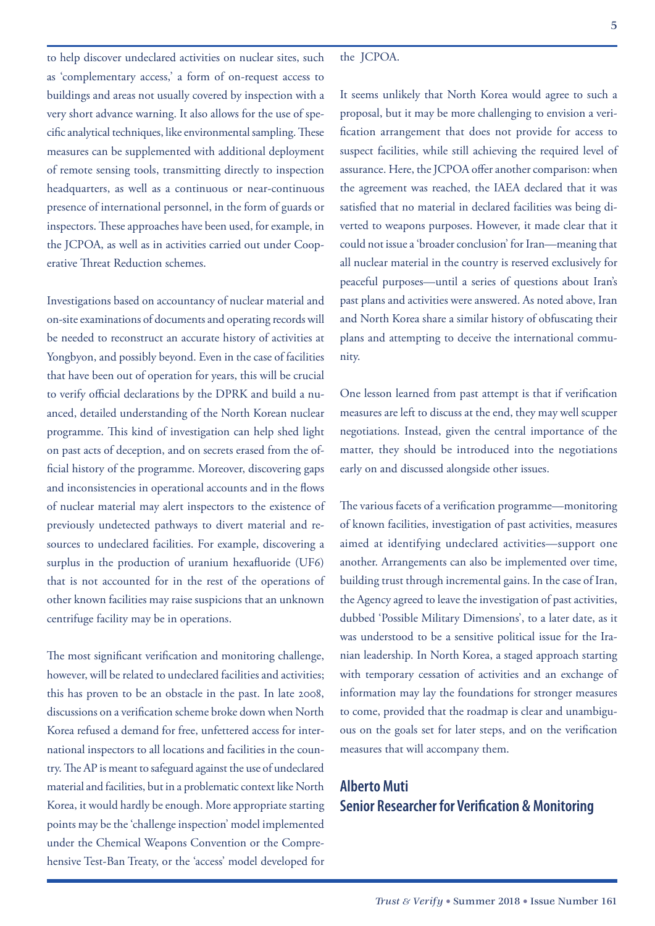to help discover undeclared activities on nuclear sites, such as 'complementary access,' a form of on-request access to buildings and areas not usually covered by inspection with a very short advance warning. It also allows for the use of specific analytical techniques, like environmental sampling. These measures can be supplemented with additional deployment of remote sensing tools, transmitting directly to inspection headquarters, as well as a continuous or near-continuous presence of international personnel, in the form of guards or inspectors. These approaches have been used, for example, in the JCPOA, as well as in activities carried out under Cooperative Threat Reduction schemes.

Investigations based on accountancy of nuclear material and on-site examinations of documents and operating records will be needed to reconstruct an accurate history of activities at Yongbyon, and possibly beyond. Even in the case of facilities that have been out of operation for years, this will be crucial to verify official declarations by the DPRK and build a nuanced, detailed understanding of the North Korean nuclear programme. This kind of investigation can help shed light on past acts of deception, and on secrets erased from the official history of the programme. Moreover, discovering gaps and inconsistencies in operational accounts and in the flows of nuclear material may alert inspectors to the existence of previously undetected pathways to divert material and resources to undeclared facilities. For example, discovering a surplus in the production of uranium hexafluoride (UF6) that is not accounted for in the rest of the operations of other known facilities may raise suspicions that an unknown centrifuge facility may be in operations.

The most significant verification and monitoring challenge, however, will be related to undeclared facilities and activities; this has proven to be an obstacle in the past. In late 2008, discussions on a verification scheme broke down when North Korea refused a demand for free, unfettered access for international inspectors to all locations and facilities in the country. The AP is meant to safeguard against the use of undeclared material and facilities, but in a problematic context like North Korea, it would hardly be enough. More appropriate starting points may be the 'challenge inspection' model implemented under the Chemical Weapons Convention or the Comprehensive Test-Ban Treaty, or the 'access' model developed for

It seems unlikely that North Korea would agree to such a proposal, but it may be more challenging to envision a verification arrangement that does not provide for access to suspect facilities, while still achieving the required level of assurance. Here, the JCPOA offer another comparison: when the agreement was reached, the IAEA declared that it was satisfied that no material in declared facilities was being diverted to weapons purposes. However, it made clear that it could not issue a 'broader conclusion' for Iran—meaning that all nuclear material in the country is reserved exclusively for peaceful purposes—until a series of questions about Iran's past plans and activities were answered. As noted above, Iran and North Korea share a similar history of obfuscating their plans and attempting to deceive the international community.

One lesson learned from past attempt is that if verification measures are left to discuss at the end, they may well scupper negotiations. Instead, given the central importance of the matter, they should be introduced into the negotiations early on and discussed alongside other issues.

The various facets of a verification programme—monitoring of known facilities, investigation of past activities, measures aimed at identifying undeclared activities—support one another. Arrangements can also be implemented over time, building trust through incremental gains. In the case of Iran, the Agency agreed to leave the investigation of past activities, dubbed 'Possible Military Dimensions', to a later date, as it was understood to be a sensitive political issue for the Iranian leadership. In North Korea, a staged approach starting with temporary cessation of activities and an exchange of information may lay the foundations for stronger measures to come, provided that the roadmap is clear and unambiguous on the goals set for later steps, and on the verification measures that will accompany them.

### **Alberto Muti Senior Researcher for Verification & Monitoring**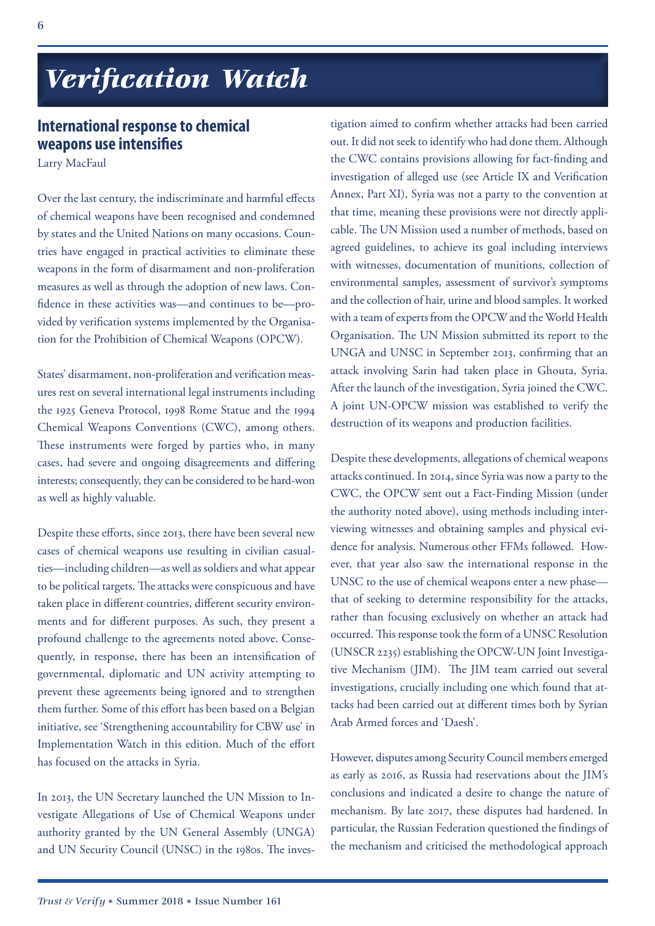## *Verification Watch*

### **International response to chemical weapons use intensifies**

Larry MacFaul

Over the last century, the indiscriminate and harmful effects of chemical weapons have been recognised and condemned by states and the United Nations on many occasions. Countries have engaged in practical activities to eliminate these weapons in the form of disarmament and non-proliferation measures as well as through the adoption of new laws. Confidence in these activities was—and continues to be—provided by verification systems implemented by the Organisation for the Prohibition of Chemical Weapons (OPCW).

States' disarmament, non-proliferation and verification measures rest on several international legal instruments including the 1925 Geneva Protocol, 1998 Rome Statue and the 1994 Chemical Weapons Conventions (CWC), among others. These instruments were forged by parties who, in many cases, had severe and ongoing disagreements and differing interests; consequently, they can be considered to be hard-won as well as highly valuable.

Despite these efforts, since 2013, there have been several new cases of chemical weapons use resulting in civilian casualties—including children—as well as soldiers and what appear to be political targets. The attacks were conspicuous and have taken place in different countries, different security environments and for different purposes. As such, they present a profound challenge to the agreements noted above. Consequently, in response, there has been an intensification of governmental, diplomatic and UN activity attempting to prevent these agreements being ignored and to strengthen them further. Some of this effort has been based on a Belgian initiative, see 'Strengthening accountability for CBW use' in Implementation Watch in this edition. Much of the effort has focused on the attacks in Syria.

In 2013, the UN Secretary launched the UN Mission to Investigate Allegations of Use of Chemical Weapons under authority granted by the UN General Assembly (UNGA) and UN Security Council (UNSC) in the 1980s. The inves-

tigation aimed to confirm whether attacks had been carried out. It did not seek to identify who had done them. Although the CWC contains provisions allowing for fact-finding and investigation of alleged use (see Article IX and Verification Annex, Part XI), Syria was not a party to the convention at that time, meaning these provisions were not directly applicable. The UN Mission used a number of methods, based on agreed guidelines, to achieve its goal including interviews with witnesses, documentation of munitions, collection of environmental samples, assessment of survivor's symptoms and the collection of hair, urine and blood samples. It worked with a team of experts from the OPCW and the World Health Organisation. The UN Mission submitted its report to the UNGA and UNSC in September 2013, confirming that an attack involving Sarin had taken place in Ghouta, Syria. After the launch of the investigation, Syria joined the CWC. A joint UN-OPCW mission was established to verify the destruction of its weapons and production facilities.

Despite these developments, allegations of chemical weapons attacks continued. In 2014, since Syria was now a party to the CWC, the OPCW sent out a Fact-Finding Mission (under the authority noted above), using methods including interviewing witnesses and obtaining samples and physical evidence for analysis. Numerous other FFMs followed. However, that year also saw the international response in the UNSC to the use of chemical weapons enter a new phase that of seeking to determine responsibility for the attacks, rather than focusing exclusively on whether an attack had occurred. This response took the form of a UNSC Resolution (UNSCR 2235) establishing the OPCW-UN Joint Investigative Mechanism (JIM). The JIM team carried out several investigations, crucially including one which found that attacks had been carried out at different times both by Syrian Arab Armed forces and 'Daesh'.

However, disputes among Security Council members emerged as early as 2016, as Russia had reservations about the JIM's conclusions and indicated a desire to change the nature of mechanism. By late 2017, these disputes had hardened. In particular, the Russian Federation questioned the findings of the mechanism and criticised the methodological approach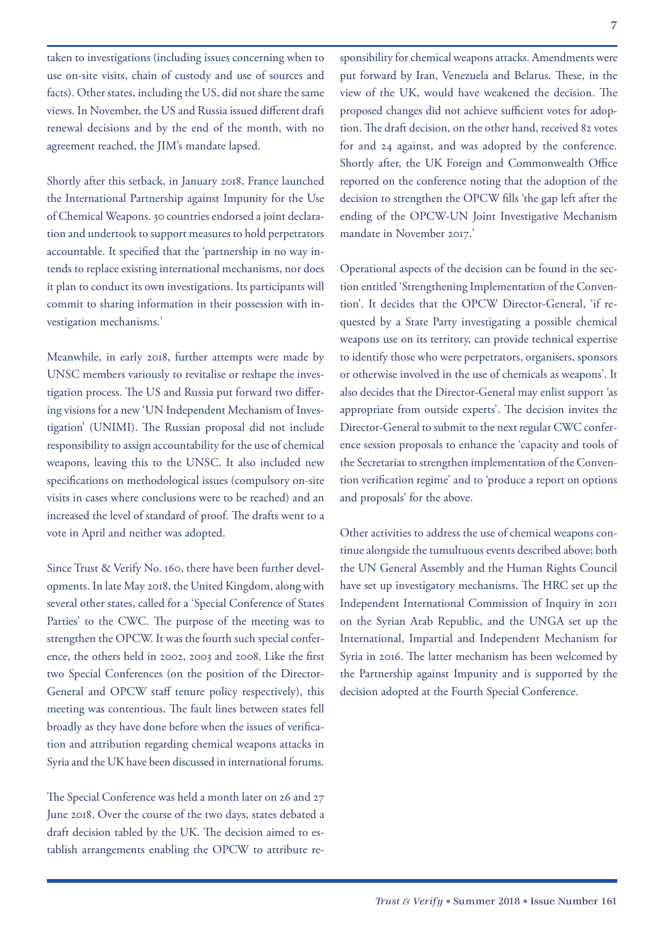taken to investigations (including issues concerning when to use on-site visits, chain of custody and use of sources and facts). Other states, including the US, did not share the same views. In November, the US and Russia issued different draft renewal decisions and by the end of the month, with no

Shortly after this setback, in January 2018, France launched the International Partnership against Impunity for the Use of Chemical Weapons. 30 countries endorsed a joint declaration and undertook to support measures to hold perpetrators accountable. It specified that the 'partnership in no way intends to replace existing international mechanisms, nor does it plan to conduct its own investigations. Its participants will commit to sharing information in their possession with investigation mechanisms.'

agreement reached, the JIM's mandate lapsed.

Meanwhile, in early 2018, further attempts were made by UNSC members variously to revitalise or reshape the investigation process. The US and Russia put forward two differing visions for a new 'UN Independent Mechanism of Investigation' (UNIMI). The Russian proposal did not include responsibility to assign accountability for the use of chemical weapons, leaving this to the UNSC. It also included new specifications on methodological issues (compulsory on-site visits in cases where conclusions were to be reached) and an increased the level of standard of proof. The drafts went to a vote in April and neither was adopted.

Since Trust & Verify No. 160, there have been further developments. In late May 2018, the United Kingdom, along with several other states, called for a 'Special Conference of States Parties' to the CWC. The purpose of the meeting was to strengthen the OPCW. It was the fourth such special conference, the others held in 2002, 2003 and 2008. Like the first two Special Conferences (on the position of the Director-General and OPCW staff tenure policy respectively), this meeting was contentious. The fault lines between states fell broadly as they have done before when the issues of verification and attribution regarding chemical weapons attacks in Syria and the UK have been discussed in international forums.

The Special Conference was held a month later on 26 and 27 June 2018. Over the course of the two days, states debated a draft decision tabled by the UK. The decision aimed to establish arrangements enabling the OPCW to attribute responsibility for chemical weapons attacks. Amendments were put forward by Iran, Venezuela and Belarus. These, in the view of the UK, would have weakened the decision. The proposed changes did not achieve sufficient votes for adoption. The draft decision, on the other hand, received 82 votes for and 24 against, and was adopted by the conference. Shortly after, the UK Foreign and Commonwealth Office reported on the conference noting that the adoption of the decision to strengthen the OPCW fills 'the gap left after the ending of the OPCW-UN Joint Investigative Mechanism mandate in November 2017.'

Operational aspects of the decision can be found in the section entitled 'Strengthening Implementation of the Convention'. It decides that the OPCW Director-General, 'if requested by a State Party investigating a possible chemical weapons use on its territory, can provide technical expertise to identify those who were perpetrators, organisers, sponsors or otherwise involved in the use of chemicals as weapons'. It also decides that the Director-General may enlist support 'as appropriate from outside experts'. The decision invites the Director-General to submit to the next regular CWC conference session proposals to enhance the 'capacity and tools of the Secretariat to strengthen implementation of the Convention verification regime' and to 'produce a report on options and proposals' for the above.

Other activities to address the use of chemical weapons continue alongside the tumultuous events described above; both the UN General Assembly and the Human Rights Council have set up investigatory mechanisms. The HRC set up the Independent International Commission of Inquiry in 2011 on the Syrian Arab Republic, and the UNGA set up the International, Impartial and Independent Mechanism for Syria in 2016. The latter mechanism has been welcomed by the Partnership against Impunity and is supported by the decision adopted at the Fourth Special Conference.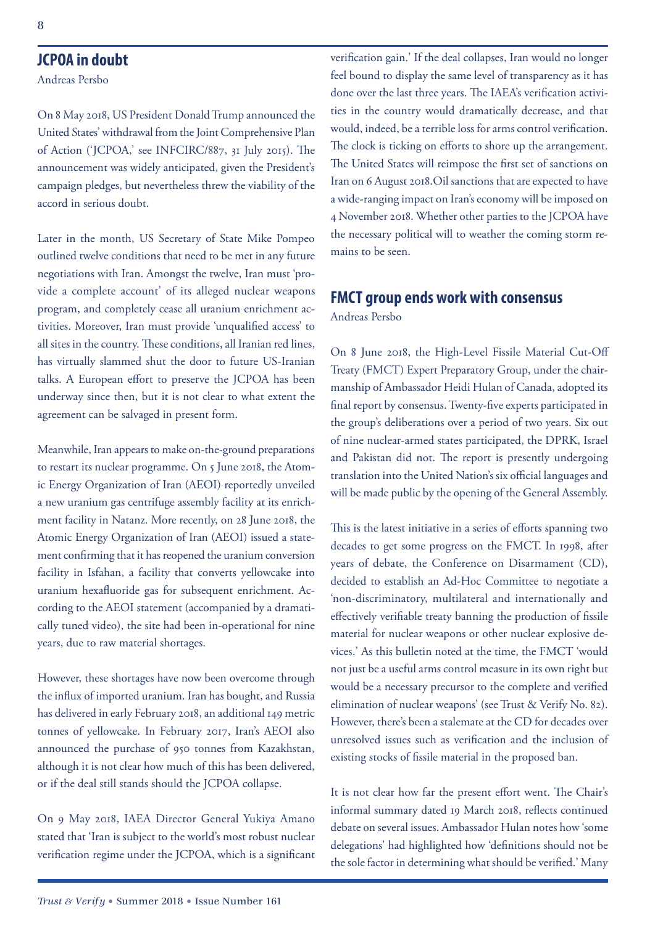#### **JCPOA in doubt**

Andreas Persbo

On 8 May 2018, US President Donald Trump announced the United States' withdrawal from the Joint Comprehensive Plan of Action ('JCPOA,' see INFCIRC/887, 31 July 2015). The announcement was widely anticipated, given the President's campaign pledges, but nevertheless threw the viability of the accord in serious doubt.

Later in the month, US Secretary of State Mike Pompeo outlined twelve conditions that need to be met in any future negotiations with Iran. Amongst the twelve, Iran must 'provide a complete account' of its alleged nuclear weapons program, and completely cease all uranium enrichment activities. Moreover, Iran must provide 'unqualified access' to all sites in the country. These conditions, all Iranian red lines, has virtually slammed shut the door to future US-Iranian talks. A European effort to preserve the JCPOA has been underway since then, but it is not clear to what extent the agreement can be salvaged in present form.

Meanwhile, Iran appears to make on-the-ground preparations to restart its nuclear programme. On 5 June 2018, the Atomic Energy Organization of Iran (AEOI) reportedly unveiled a new uranium gas centrifuge assembly facility at its enrichment facility in Natanz. More recently, on 28 June 2018, the Atomic Energy Organization of Iran (AEOI) issued a statement confirming that it has reopened the uranium conversion facility in Isfahan, a facility that converts yellowcake into uranium hexafluoride gas for subsequent enrichment. According to the AEOI statement (accompanied by a dramatically tuned video), the site had been in-operational for nine years, due to raw material shortages.

However, these shortages have now been overcome through the influx of imported uranium. Iran has bought, and Russia has delivered in early February 2018, an additional 149 metric tonnes of yellowcake. In February 2017, Iran's AEOI also announced the purchase of 950 tonnes from Kazakhstan, although it is not clear how much of this has been delivered, or if the deal still stands should the JCPOA collapse.

On 9 May 2018, IAEA Director General Yukiya Amano stated that 'Iran is subject to the world's most robust nuclear verification regime under the JCPOA, which is a significant verification gain.' If the deal collapses, Iran would no longer feel bound to display the same level of transparency as it has done over the last three years. The IAEA's verification activities in the country would dramatically decrease, and that would, indeed, be a terrible loss for arms control verification. The clock is ticking on efforts to shore up the arrangement. The United States will reimpose the first set of sanctions on Iran on 6 August 2018.Oil sanctions that are expected to have a wide-ranging impact on Iran's economy will be imposed on 4 November 2018. Whether other parties to the JCPOA have the necessary political will to weather the coming storm remains to be seen.

#### **FMCT group ends work with consensus** Andreas Persbo

On 8 June 2018, the High-Level Fissile Material Cut-Off Treaty (FMCT) Expert Preparatory Group, under the chairmanship of Ambassador Heidi Hulan of Canada, adopted its final report by consensus. Twenty-five experts participated in the group's deliberations over a period of two years. Six out of nine nuclear-armed states participated, the DPRK, Israel and Pakistan did not. The report is presently undergoing translation into the United Nation's six official languages and will be made public by the opening of the General Assembly.

This is the latest initiative in a series of efforts spanning two decades to get some progress on the FMCT. In 1998, after years of debate, the Conference on Disarmament (CD), decided to establish an Ad-Hoc Committee to negotiate a 'non-discriminatory, multilateral and internationally and effectively verifiable treaty banning the production of fissile material for nuclear weapons or other nuclear explosive devices.' As this bulletin noted at the time, the FMCT 'would not just be a useful arms control measure in its own right but would be a necessary precursor to the complete and verified elimination of nuclear weapons' (see Trust & Verify No. 82). However, there's been a stalemate at the CD for decades over unresolved issues such as verification and the inclusion of existing stocks of fissile material in the proposed ban.

It is not clear how far the present effort went. The Chair's informal summary dated 19 March 2018, reflects continued debate on several issues. Ambassador Hulan notes how 'some delegations' had highlighted how 'definitions should not be the sole factor in determining what should be verified.' Many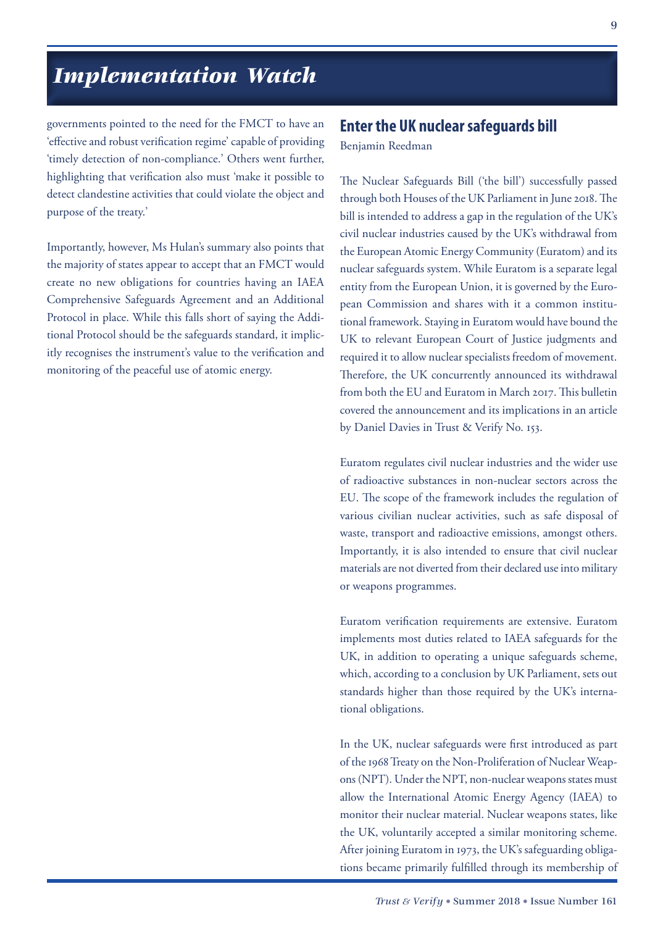## *Implementation Watch*

governments pointed to the need for the FMCT to have an 'effective and robust verification regime' capable of providing 'timely detection of non-compliance.' Others went further, highlighting that verification also must 'make it possible to detect clandestine activities that could violate the object and purpose of the treaty.'

Importantly, however, Ms Hulan's summary also points that the majority of states appear to accept that an FMCT would create no new obligations for countries having an IAEA Comprehensive Safeguards Agreement and an Additional Protocol in place. While this falls short of saying the Additional Protocol should be the safeguards standard, it implicitly recognises the instrument's value to the verification and monitoring of the peaceful use of atomic energy.

#### **Enter the UK nuclear safeguards bill**

Benjamin Reedman

The Nuclear Safeguards Bill ('the bill') successfully passed through both Houses of the UK Parliament in June 2018. The bill is intended to address a gap in the regulation of the UK's civil nuclear industries caused by the UK's withdrawal from the European Atomic Energy Community (Euratom) and its nuclear safeguards system. While Euratom is a separate legal entity from the European Union, it is governed by the European Commission and shares with it a common institutional framework. Staying in Euratom would have bound the UK to relevant European Court of Justice judgments and required it to allow nuclear specialists freedom of movement. Therefore, the UK concurrently announced its withdrawal from both the EU and Euratom in March 2017. This bulletin covered the announcement and its implications in an article by Daniel Davies in Trust & Verify No. 153.

Euratom regulates civil nuclear industries and the wider use of radioactive substances in non-nuclear sectors across the EU. The scope of the framework includes the regulation of various civilian nuclear activities, such as safe disposal of waste, transport and radioactive emissions, amongst others. Importantly, it is also intended to ensure that civil nuclear materials are not diverted from their declared use into military or weapons programmes.

Euratom verification requirements are extensive. Euratom implements most duties related to IAEA safeguards for the UK, in addition to operating a unique safeguards scheme, which, according to a conclusion by UK Parliament, sets out standards higher than those required by the UK's international obligations.

In the UK, nuclear safeguards were first introduced as part of the 1968 Treaty on the Non-Proliferation of Nuclear Weapons (NPT). Under the NPT, non-nuclear weapons states must allow the International Atomic Energy Agency (IAEA) to monitor their nuclear material. Nuclear weapons states, like the UK, voluntarily accepted a similar monitoring scheme. After joining Euratom in 1973, the UK's safeguarding obligations became primarily fulfilled through its membership of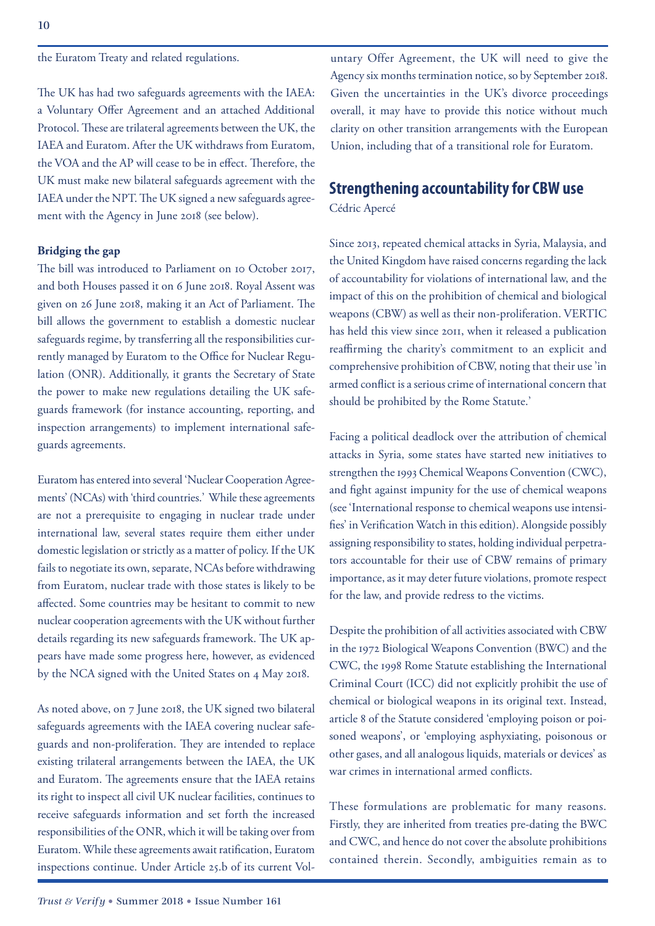the Euratom Treaty and related regulations.

The UK has had two safeguards agreements with the IAEA: a Voluntary Offer Agreement and an attached Additional Protocol. These are trilateral agreements between the UK, the IAEA and Euratom. After the UK withdraws from Euratom, the VOA and the AP will cease to be in effect. Therefore, the UK must make new bilateral safeguards agreement with the IAEA under the NPT. The UK signed a new safeguards agreement with the Agency in June 2018 (see below).

#### **Bridging the gap**

The bill was introduced to Parliament on 10 October 2017, and both Houses passed it on 6 June 2018. Royal Assent was given on 26 June 2018, making it an Act of Parliament. The bill allows the government to establish a domestic nuclear safeguards regime, by transferring all the responsibilities currently managed by Euratom to the Office for Nuclear Regulation (ONR). Additionally, it grants the Secretary of State the power to make new regulations detailing the UK safeguards framework (for instance accounting, reporting, and inspection arrangements) to implement international safeguards agreements.

Euratom has entered into several 'Nuclear Cooperation Agreements' (NCAs) with 'third countries.' While these agreements are not a prerequisite to engaging in nuclear trade under international law, several states require them either under domestic legislation or strictly as a matter of policy. If the UK fails to negotiate its own, separate, NCAs before withdrawing from Euratom, nuclear trade with those states is likely to be affected. Some countries may be hesitant to commit to new nuclear cooperation agreements with the UK without further details regarding its new safeguards framework. The UK appears have made some progress here, however, as evidenced by the NCA signed with the United States on 4 May 2018.

As noted above, on 7 June 2018, the UK signed two bilateral safeguards agreements with the IAEA covering nuclear safeguards and non-proliferation. They are intended to replace existing trilateral arrangements between the IAEA, the UK and Euratom. The agreements ensure that the IAEA retains its right to inspect all civil UK nuclear facilities, continues to receive safeguards information and set forth the increased responsibilities of the ONR, which it will be taking over from Euratom. While these agreements await ratification, Euratom inspections continue. Under Article 25.b of its current Vol-

untary Offer Agreement, the UK will need to give the Agency six months termination notice, so by September 2018. Given the uncertainties in the UK's divorce proceedings overall, it may have to provide this notice without much clarity on other transition arrangements with the European Union, including that of a transitional role for Euratom.

#### **Strengthening accountability for CBW use** Cédric Apercé

Since 2013, repeated chemical attacks in Syria, Malaysia, and the United Kingdom have raised concerns regarding the lack of accountability for violations of international law, and the impact of this on the prohibition of chemical and biological weapons (CBW) as well as their non-proliferation. VERTIC has held this view since 2011, when it released a publication reaffirming the charity's commitment to an explicit and comprehensive prohibition of CBW, noting that their use 'in armed conflict is a serious crime of international concern that should be prohibited by the Rome Statute.'

Facing a political deadlock over the attribution of chemical attacks in Syria, some states have started new initiatives to strengthen the 1993 Chemical Weapons Convention (CWC), and fight against impunity for the use of chemical weapons (see 'International response to chemical weapons use intensifies' in Verification Watch in this edition). Alongside possibly assigning responsibility to states, holding individual perpetrators accountable for their use of CBW remains of primary importance, as it may deter future violations, promote respect for the law, and provide redress to the victims.

Despite the prohibition of all activities associated with CBW in the 1972 Biological Weapons Convention (BWC) and the CWC, the 1998 Rome Statute establishing the International Criminal Court (ICC) did not explicitly prohibit the use of chemical or biological weapons in its original text. Instead, article 8 of the Statute considered 'employing poison or poisoned weapons', or 'employing asphyxiating, poisonous or other gases, and all analogous liquids, materials or devices' as war crimes in international armed conflicts.

These formulations are problematic for many reasons. Firstly, they are inherited from treaties pre-dating the BWC and CWC, and hence do not cover the absolute prohibitions contained therein. Secondly, ambiguities remain as to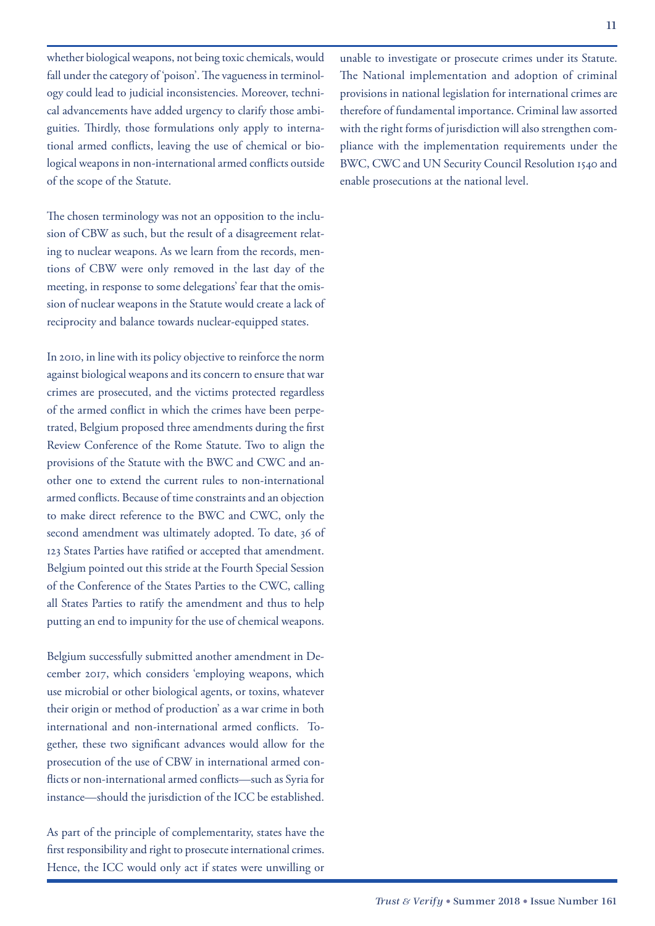whether biological weapons, not being toxic chemicals, would fall under the category of 'poison'. The vagueness in terminology could lead to judicial inconsistencies. Moreover, technical advancements have added urgency to clarify those ambiguities. Thirdly, those formulations only apply to international armed conflicts, leaving the use of chemical or biological weapons in non-international armed conflicts outside of the scope of the Statute.

The chosen terminology was not an opposition to the inclusion of CBW as such, but the result of a disagreement relating to nuclear weapons. As we learn from the records, mentions of CBW were only removed in the last day of the meeting, in response to some delegations' fear that the omission of nuclear weapons in the Statute would create a lack of reciprocity and balance towards nuclear-equipped states.

In 2010, in line with its policy objective to reinforce the norm against biological weapons and its concern to ensure that war crimes are prosecuted, and the victims protected regardless of the armed conflict in which the crimes have been perpetrated, Belgium proposed three amendments during the first Review Conference of the Rome Statute. Two to align the provisions of the Statute with the BWC and CWC and another one to extend the current rules to non-international armed conflicts. Because of time constraints and an objection to make direct reference to the BWC and CWC, only the second amendment was ultimately adopted. To date, 36 of 123 States Parties have ratified or accepted that amendment. Belgium pointed out this stride at the Fourth Special Session of the Conference of the States Parties to the CWC, calling all States Parties to ratify the amendment and thus to help putting an end to impunity for the use of chemical weapons.

Belgium successfully submitted another amendment in December 2017, which considers 'employing weapons, which use microbial or other biological agents, or toxins, whatever their origin or method of production' as a war crime in both international and non-international armed conflicts. Together, these two significant advances would allow for the prosecution of the use of CBW in international armed conflicts or non-international armed conflicts—such as Syria for instance—should the jurisdiction of the ICC be established.

As part of the principle of complementarity, states have the first responsibility and right to prosecute international crimes. Hence, the ICC would only act if states were unwilling or

unable to investigate or prosecute crimes under its Statute. The National implementation and adoption of criminal provisions in national legislation for international crimes are therefore of fundamental importance. Criminal law assorted with the right forms of jurisdiction will also strengthen compliance with the implementation requirements under the BWC, CWC and UN Security Council Resolution 1540 and enable prosecutions at the national level.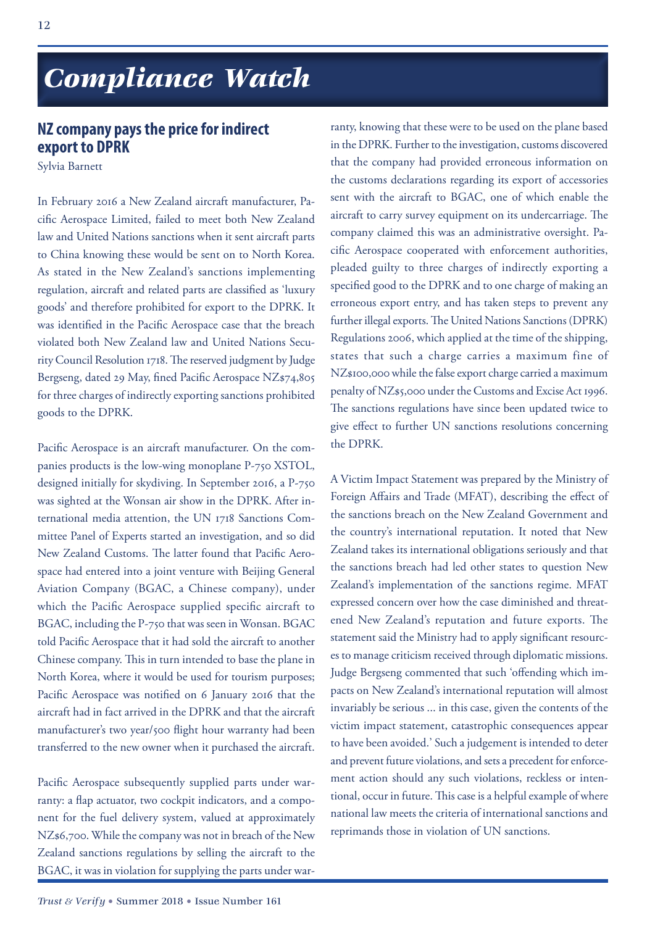## *Compliance Watch Compliance Watch*

### **NZ company pays the price for indirect export to DPRK**

Sylvia Barnett

In February 2016 a New Zealand aircraft manufacturer, Pacific Aerospace Limited, failed to meet both New Zealand law and United Nations sanctions when it sent aircraft parts to China knowing these would be sent on to North Korea. As stated in the New Zealand's sanctions implementing regulation, aircraft and related parts are classified as 'luxury goods' and therefore prohibited for export to the DPRK. It was identified in the Pacific Aerospace case that the breach violated both New Zealand law and United Nations Security Council Resolution 1718. The reserved judgment by Judge Bergseng, dated 29 May, fined Pacific Aerospace NZ\$74,805 for three charges of indirectly exporting sanctions prohibited goods to the DPRK.

Pacific Aerospace is an aircraft manufacturer. On the companies products is the low-wing monoplane P-750 XSTOL, designed initially for skydiving. In September 2016, a P-750 was sighted at the Wonsan air show in the DPRK. After international media attention, the UN 1718 Sanctions Committee Panel of Experts started an investigation, and so did New Zealand Customs. The latter found that Pacific Aerospace had entered into a joint venture with Beijing General Aviation Company (BGAC, a Chinese company), under which the Pacific Aerospace supplied specific aircraft to BGAC, including the P-750 that was seen in Wonsan. BGAC told Pacific Aerospace that it had sold the aircraft to another Chinese company. This in turn intended to base the plane in North Korea, where it would be used for tourism purposes; Pacific Aerospace was notified on 6 January 2016 that the aircraft had in fact arrived in the DPRK and that the aircraft manufacturer's two year/500 flight hour warranty had been transferred to the new owner when it purchased the aircraft.

Pacific Aerospace subsequently supplied parts under warranty: a flap actuator, two cockpit indicators, and a component for the fuel delivery system, valued at approximately NZ\$6,700. While the company was not in breach of the New Zealand sanctions regulations by selling the aircraft to the BGAC, it was in violation for supplying the parts under war-

ranty, knowing that these were to be used on the plane based in the DPRK. Further to the investigation, customs discovered that the company had provided erroneous information on the customs declarations regarding its export of accessories sent with the aircraft to BGAC, one of which enable the aircraft to carry survey equipment on its undercarriage. The company claimed this was an administrative oversight. Pacific Aerospace cooperated with enforcement authorities, pleaded guilty to three charges of indirectly exporting a specified good to the DPRK and to one charge of making an erroneous export entry, and has taken steps to prevent any further illegal exports. The United Nations Sanctions (DPRK) Regulations 2006, which applied at the time of the shipping, states that such a charge carries a maximum fine of NZ\$100,000 while the false export charge carried a maximum penalty of NZ\$5,000 under the Customs and Excise Act 1996. The sanctions regulations have since been updated twice to give effect to further UN sanctions resolutions concerning the DPRK.

A Victim Impact Statement was prepared by the Ministry of Foreign Affairs and Trade (MFAT), describing the effect of the sanctions breach on the New Zealand Government and the country's international reputation. It noted that New Zealand takes its international obligations seriously and that the sanctions breach had led other states to question New Zealand's implementation of the sanctions regime. MFAT expressed concern over how the case diminished and threatened New Zealand's reputation and future exports. The statement said the Ministry had to apply significant resources to manage criticism received through diplomatic missions. Judge Bergseng commented that such 'offending which impacts on New Zealand's international reputation will almost invariably be serious ... in this case, given the contents of the victim impact statement, catastrophic consequences appear to have been avoided.' Such a judgement is intended to deter and prevent future violations, and sets a precedent for enforcement action should any such violations, reckless or intentional, occur in future. This case is a helpful example of where national law meets the criteria of international sanctions and reprimands those in violation of UN sanctions.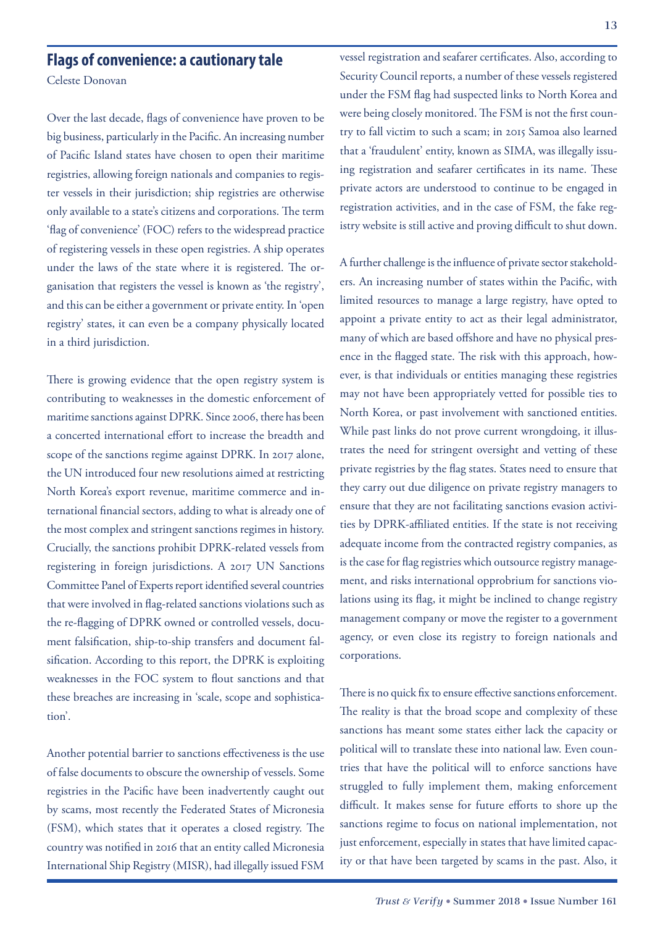### **Flags of convenience: a cautionary tale**

Celeste Donovan

Over the last decade, flags of convenience have proven to be big business, particularly in the Pacific. An increasing number of Pacific Island states have chosen to open their maritime registries, allowing foreign nationals and companies to register vessels in their jurisdiction; ship registries are otherwise only available to a state's citizens and corporations. The term 'flag of convenience' (FOC) refers to the widespread practice of registering vessels in these open registries. A ship operates under the laws of the state where it is registered. The organisation that registers the vessel is known as 'the registry', and this can be either a government or private entity. In 'open registry' states, it can even be a company physically located in a third jurisdiction.

There is growing evidence that the open registry system is contributing to weaknesses in the domestic enforcement of maritime sanctions against DPRK. Since 2006, there has been a concerted international effort to increase the breadth and scope of the sanctions regime against DPRK. In 2017 alone, the UN introduced four new resolutions aimed at restricting North Korea's export revenue, maritime commerce and international financial sectors, adding to what is already one of the most complex and stringent sanctions regimes in history. Crucially, the sanctions prohibit DPRK-related vessels from registering in foreign jurisdictions. A 2017 UN Sanctions Committee Panel of Experts report identified several countries that were involved in flag-related sanctions violations such as the re-flagging of DPRK owned or controlled vessels, document falsification, ship-to-ship transfers and document falsification. According to this report, the DPRK is exploiting weaknesses in the FOC system to flout sanctions and that these breaches are increasing in 'scale, scope and sophistication'.

Another potential barrier to sanctions effectiveness is the use of false documents to obscure the ownership of vessels. Some registries in the Pacific have been inadvertently caught out by scams, most recently the Federated States of Micronesia (FSM), which states that it operates a closed registry. The country was notified in 2016 that an entity called Micronesia International Ship Registry (MISR), had illegally issued FSM

vessel registration and seafarer certificates. Also, according to Security Council reports, a number of these vessels registered under the FSM flag had suspected links to North Korea and were being closely monitored. The FSM is not the first country to fall victim to such a scam; in 2015 Samoa also learned that a 'fraudulent' entity, known as SIMA, was illegally issuing registration and seafarer certificates in its name. These private actors are understood to continue to be engaged in registration activities, and in the case of FSM, the fake registry website is still active and proving difficult to shut down.

A further challenge is the influence of private sector stakeholders. An increasing number of states within the Pacific, with limited resources to manage a large registry, have opted to appoint a private entity to act as their legal administrator, many of which are based offshore and have no physical presence in the flagged state. The risk with this approach, however, is that individuals or entities managing these registries may not have been appropriately vetted for possible ties to North Korea, or past involvement with sanctioned entities. While past links do not prove current wrongdoing, it illustrates the need for stringent oversight and vetting of these private registries by the flag states. States need to ensure that they carry out due diligence on private registry managers to ensure that they are not facilitating sanctions evasion activities by DPRK-affiliated entities. If the state is not receiving adequate income from the contracted registry companies, as is the case for flag registries which outsource registry management, and risks international opprobrium for sanctions violations using its flag, it might be inclined to change registry management company or move the register to a government agency, or even close its registry to foreign nationals and corporations.

There is no quick fix to ensure effective sanctions enforcement. The reality is that the broad scope and complexity of these sanctions has meant some states either lack the capacity or political will to translate these into national law. Even countries that have the political will to enforce sanctions have struggled to fully implement them, making enforcement difficult. It makes sense for future efforts to shore up the sanctions regime to focus on national implementation, not just enforcement, especially in states that have limited capacity or that have been targeted by scams in the past. Also, it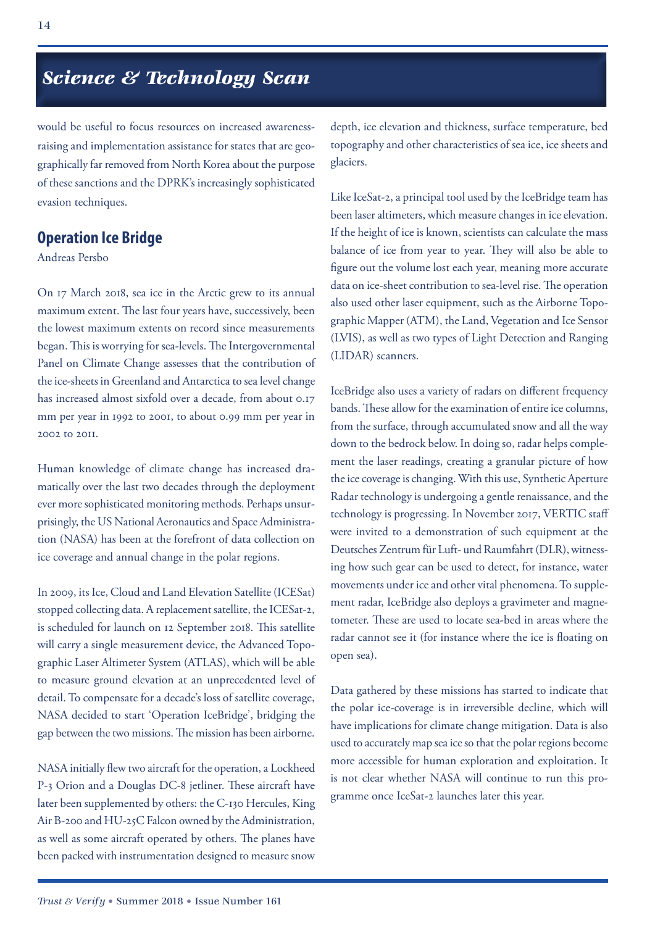## *Science & Technology Scan*

would be useful to focus resources on increased awarenessraising and implementation assistance for states that are geographically far removed from North Korea about the purpose of these sanctions and the DPRK's increasingly sophisticated evasion techniques.

#### **Operation Ice Bridge**

Andreas Persbo

On 17 March 2018, sea ice in the Arctic grew to its annual maximum extent. The last four years have, successively, been the lowest maximum extents on record since measurements began. This is worrying for sea-levels. The Intergovernmental Panel on Climate Change assesses that the contribution of the ice-sheets in Greenland and Antarctica to sea level change has increased almost sixfold over a decade, from about 0.17 mm per year in 1992 to 2001, to about 0.99 mm per year in 2002 to 2011.

Human knowledge of climate change has increased dramatically over the last two decades through the deployment ever more sophisticated monitoring methods. Perhaps unsurprisingly, the US National Aeronautics and Space Administration (NASA) has been at the forefront of data collection on ice coverage and annual change in the polar regions.

In 2009, its Ice, Cloud and Land Elevation Satellite (ICESat) stopped collecting data. A replacement satellite, the ICESat-2, is scheduled for launch on 12 September 2018. This satellite will carry a single measurement device, the Advanced Topographic Laser Altimeter System (ATLAS), which will be able to measure ground elevation at an unprecedented level of detail. To compensate for a decade's loss of satellite coverage, NASA decided to start 'Operation IceBridge', bridging the gap between the two missions. The mission has been airborne.

NASA initially flew two aircraft for the operation, a Lockheed P-3 Orion and a Douglas DC-8 jetliner. These aircraft have later been supplemented by others: the C-130 Hercules, King Air B-200 and HU-25C Falcon owned by the Administration, as well as some aircraft operated by others. The planes have been packed with instrumentation designed to measure snow

depth, ice elevation and thickness, surface temperature, bed topography and other characteristics of sea ice, ice sheets and glaciers.

Like IceSat-2, a principal tool used by the IceBridge team has been laser altimeters, which measure changes in ice elevation. If the height of ice is known, scientists can calculate the mass balance of ice from year to year. They will also be able to figure out the volume lost each year, meaning more accurate data on ice-sheet contribution to sea-level rise. The operation also used other laser equipment, such as the Airborne Topographic Mapper (ATM), the Land, Vegetation and Ice Sensor (LVIS), as well as two types of Light Detection and Ranging (LIDAR) scanners.

IceBridge also uses a variety of radars on different frequency bands. These allow for the examination of entire ice columns, from the surface, through accumulated snow and all the way down to the bedrock below. In doing so, radar helps complement the laser readings, creating a granular picture of how the ice coverage is changing. With this use, Synthetic Aperture Radar technology is undergoing a gentle renaissance, and the technology is progressing. In November 2017, VERTIC staff were invited to a demonstration of such equipment at the Deutsches Zentrum für Luft- und Raumfahrt (DLR), witnessing how such gear can be used to detect, for instance, water movements under ice and other vital phenomena. To supplement radar, IceBridge also deploys a gravimeter and magnetometer. These are used to locate sea-bed in areas where the radar cannot see it (for instance where the ice is floating on open sea).

Data gathered by these missions has started to indicate that the polar ice-coverage is in irreversible decline, which will have implications for climate change mitigation. Data is also used to accurately map sea ice so that the polar regions become more accessible for human exploration and exploitation. It is not clear whether NASA will continue to run this programme once IceSat-2 launches later this year.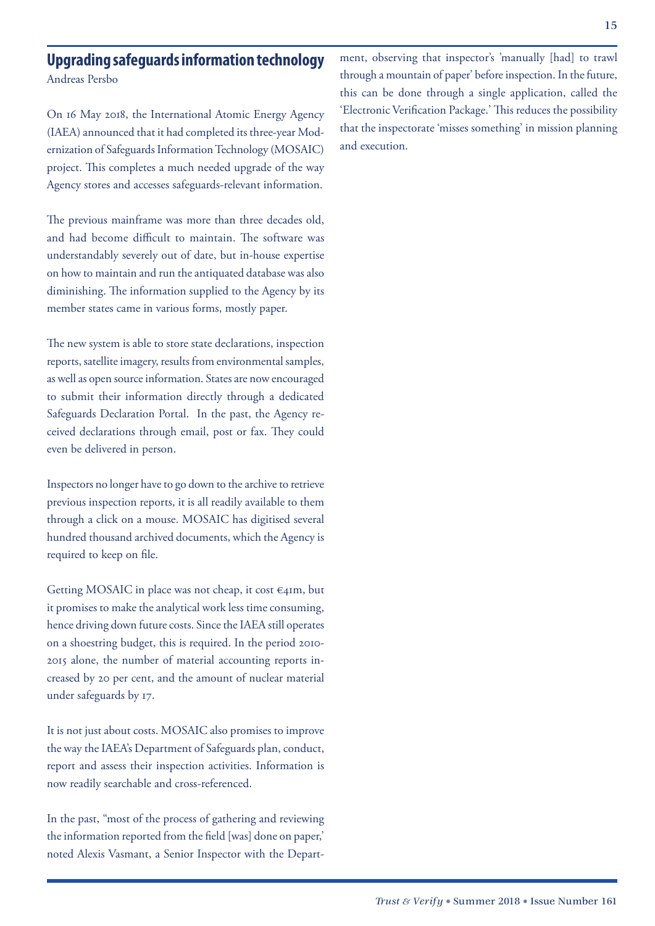#### **Upgrading safeguards information technology** Andreas Persbo

On 16 May 2018, the International Atomic Energy Agency (IAEA) announced that it had completed its three-year Modernization of Safeguards Information Technology (MOSAIC) project. This completes a much needed upgrade of the way Agency stores and accesses safeguards-relevant information.

The previous mainframe was more than three decades old, and had become difficult to maintain. The software was understandably severely out of date, but in-house expertise on how to maintain and run the antiquated database was also diminishing. The information supplied to the Agency by its member states came in various forms, mostly paper.

The new system is able to store state declarations, inspection reports, satellite imagery, results from environmental samples, as well as open source information. States are now encouraged to submit their information directly through a dedicated Safeguards Declaration Portal. In the past, the Agency received declarations through email, post or fax. They could even be delivered in person.

Inspectors no longer have to go down to the archive to retrieve previous inspection reports, it is all readily available to them through a click on a mouse. MOSAIC has digitised several hundred thousand archived documents, which the Agency is required to keep on file.

Getting MOSAIC in place was not cheap, it cost  $\epsilon$ 41m, but it promises to make the analytical work less time consuming, hence driving down future costs. Since the IAEA still operates on a shoestring budget, this is required. In the period 2010- 2015 alone, the number of material accounting reports increased by 20 per cent, and the amount of nuclear material under safeguards by 17.

It is not just about costs. MOSAIC also promises to improve the way the IAEA's Department of Safeguards plan, conduct, report and assess their inspection activities. Information is now readily searchable and cross-referenced.

In the past, "most of the process of gathering and reviewing the information reported from the field [was] done on paper,' noted Alexis Vasmant, a Senior Inspector with the Department, observing that inspector's 'manually [had] to trawl through a mountain of paper' before inspection. In the future, this can be done through a single application, called the 'Electronic Verification Package.' This reduces the possibility that the inspectorate 'misses something' in mission planning and execution.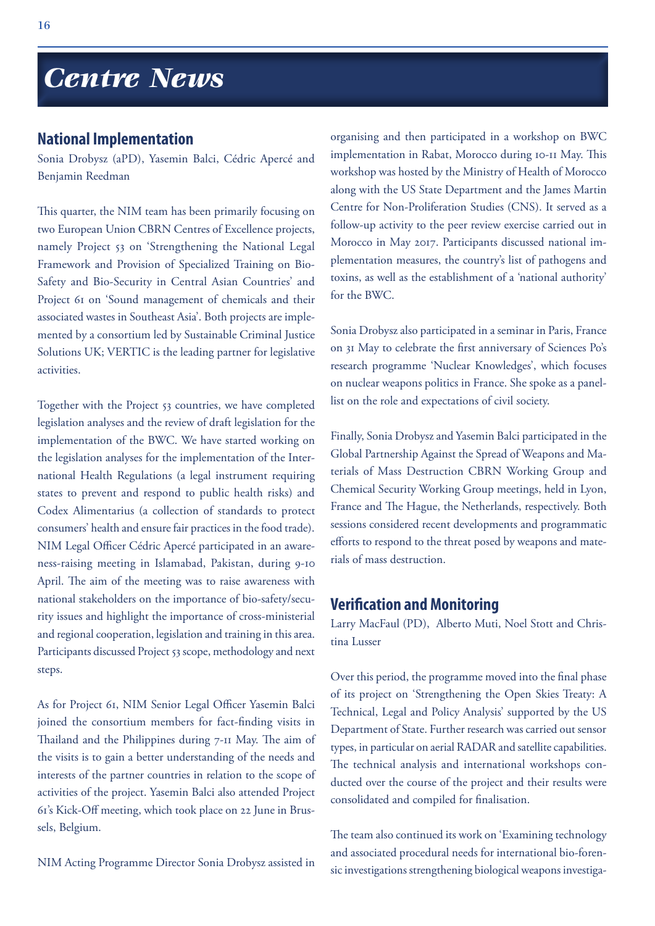## *Centre News*

#### **National Implementation**

Sonia Drobysz (aPD), Yasemin Balci, Cédric Apercé and Benjamin Reedman

This quarter, the NIM team has been primarily focusing on two European Union CBRN Centres of Excellence projects, namely Project 53 on 'Strengthening the National Legal Framework and Provision of Specialized Training on Bio-Safety and Bio-Security in Central Asian Countries' and Project 61 on 'Sound management of chemicals and their associated wastes in Southeast Asia'. Both projects are implemented by a consortium led by Sustainable Criminal Justice Solutions UK; VERTIC is the leading partner for legislative activities.

Together with the Project 53 countries, we have completed legislation analyses and the review of draft legislation for the implementation of the BWC. We have started working on the legislation analyses for the implementation of the International Health Regulations (a legal instrument requiring states to prevent and respond to public health risks) and Codex Alimentarius (a collection of standards to protect consumers' health and ensure fair practices in the food trade). NIM Legal Officer Cédric Apercé participated in an awareness-raising meeting in Islamabad, Pakistan, during 9-10 April. The aim of the meeting was to raise awareness with national stakeholders on the importance of bio-safety/security issues and highlight the importance of cross-ministerial and regional cooperation, legislation and training in this area. Participants discussed Project 53 scope, methodology and next steps.

As for Project 61, NIM Senior Legal Officer Yasemin Balci joined the consortium members for fact-finding visits in Thailand and the Philippines during 7-11 May. The aim of the visits is to gain a better understanding of the needs and interests of the partner countries in relation to the scope of activities of the project. Yasemin Balci also attended Project 61's Kick-Off meeting, which took place on 22 June in Brussels, Belgium.

NIM Acting Programme Director Sonia Drobysz assisted in

organising and then participated in a workshop on BWC implementation in Rabat, Morocco during 10-11 May. This workshop was hosted by the Ministry of Health of Morocco along with the US State Department and the James Martin Centre for Non-Proliferation Studies (CNS). It served as a follow-up activity to the peer review exercise carried out in Morocco in May 2017. Participants discussed national implementation measures, the country's list of pathogens and toxins, as well as the establishment of a 'national authority' for the BWC.

Sonia Drobysz also participated in a seminar in Paris, France on 31 May to celebrate the first anniversary of Sciences Po's research programme 'Nuclear Knowledges', which focuses on nuclear weapons politics in France. She spoke as a panellist on the role and expectations of civil society.

Finally, Sonia Drobysz and Yasemin Balci participated in the Global Partnership Against the Spread of Weapons and Materials of Mass Destruction CBRN Working Group and Chemical Security Working Group meetings, held in Lyon, France and The Hague, the Netherlands, respectively. Both sessions considered recent developments and programmatic efforts to respond to the threat posed by weapons and materials of mass destruction.

#### **Verification and Monitoring**

Larry MacFaul (PD), Alberto Muti, Noel Stott and Christina Lusser

Over this period, the programme moved into the final phase of its project on 'Strengthening the Open Skies Treaty: A Technical, Legal and Policy Analysis' supported by the US Department of State. Further research was carried out sensor types, in particular on aerial RADAR and satellite capabilities. The technical analysis and international workshops conducted over the course of the project and their results were consolidated and compiled for finalisation.

The team also continued its work on 'Examining technology and associated procedural needs for international bio-forensic investigations strengthening biological weapons investiga-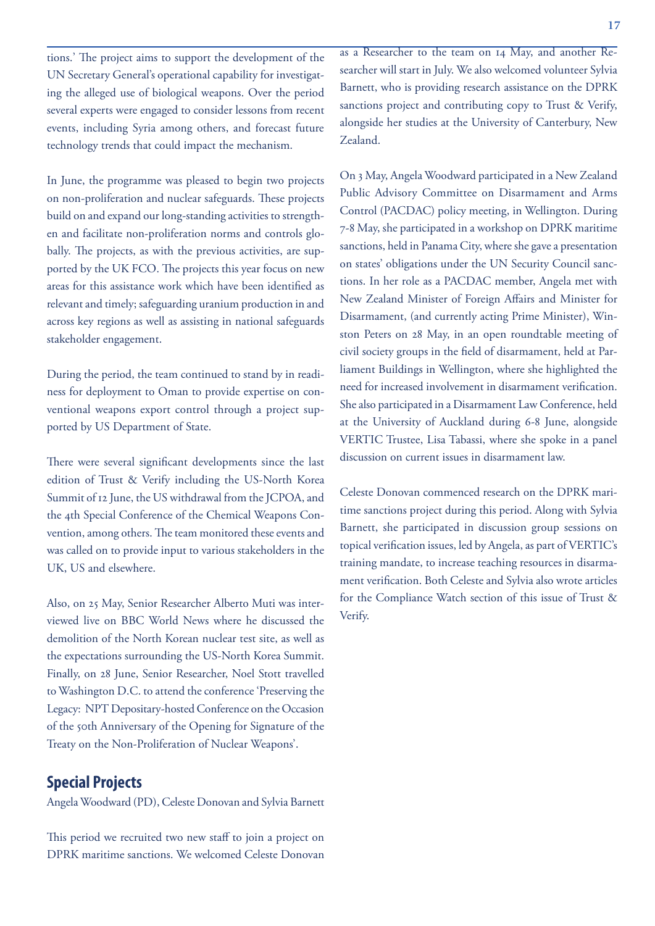tions.' The project aims to support the development of the UN Secretary General's operational capability for investigating the alleged use of biological weapons. Over the period several experts were engaged to consider lessons from recent events, including Syria among others, and forecast future technology trends that could impact the mechanism.

In June, the programme was pleased to begin two projects on non-proliferation and nuclear safeguards. These projects build on and expand our long-standing activities to strengthen and facilitate non-proliferation norms and controls globally. The projects, as with the previous activities, are supported by the UK FCO. The projects this year focus on new areas for this assistance work which have been identified as relevant and timely; safeguarding uranium production in and across key regions as well as assisting in national safeguards stakeholder engagement.

During the period, the team continued to stand by in readiness for deployment to Oman to provide expertise on conventional weapons export control through a project supported by US Department of State.

There were several significant developments since the last edition of Trust & Verify including the US-North Korea Summit of 12 June, the US withdrawal from the JCPOA, and the 4th Special Conference of the Chemical Weapons Convention, among others. The team monitored these events and was called on to provide input to various stakeholders in the UK, US and elsewhere.

Also, on 25 May, Senior Researcher Alberto Muti was interviewed live on BBC World News where he discussed the demolition of the North Korean nuclear test site, as well as the expectations surrounding the US-North Korea Summit. Finally, on 28 June, Senior Researcher, Noel Stott travelled to Washington D.C. to attend the conference 'Preserving the Legacy: NPT Depositary-hosted Conference on the Occasion of the 50th Anniversary of the Opening for Signature of the Treaty on the Non-Proliferation of Nuclear Weapons'.

#### **Special Projects**

Angela Woodward (PD), Celeste Donovan and Sylvia Barnett

This period we recruited two new staff to join a project on DPRK maritime sanctions. We welcomed Celeste Donovan as a Researcher to the team on 14 May, and another Researcher will start in July. We also welcomed volunteer Sylvia Barnett, who is providing research assistance on the DPRK sanctions project and contributing copy to Trust & Verify, alongside her studies at the University of Canterbury, New Zealand.

On 3 May, Angela Woodward participated in a New Zealand Public Advisory Committee on Disarmament and Arms Control (PACDAC) policy meeting, in Wellington. During 7-8 May, she participated in a workshop on DPRK maritime sanctions, held in Panama City, where she gave a presentation on states' obligations under the UN Security Council sanctions. In her role as a PACDAC member, Angela met with New Zealand Minister of Foreign Affairs and Minister for Disarmament, (and currently acting Prime Minister), Winston Peters on 28 May, in an open roundtable meeting of civil society groups in the field of disarmament, held at Parliament Buildings in Wellington, where she highlighted the need for increased involvement in disarmament verification. She also participated in a Disarmament Law Conference, held at the University of Auckland during 6-8 June, alongside VERTIC Trustee, Lisa Tabassi, where she spoke in a panel discussion on current issues in disarmament law.

Celeste Donovan commenced research on the DPRK maritime sanctions project during this period. Along with Sylvia Barnett, she participated in discussion group sessions on topical verification issues, led by Angela, as part of VERTIC's training mandate, to increase teaching resources in disarmament verification. Both Celeste and Sylvia also wrote articles for the Compliance Watch section of this issue of Trust & Verify.